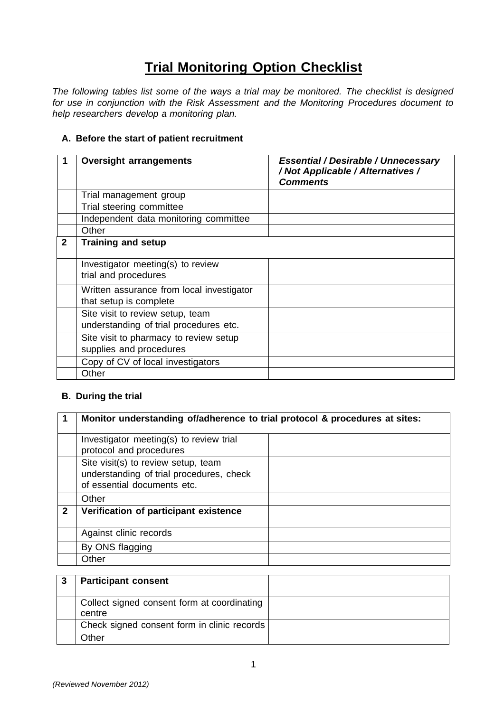## **Trial Monitoring Option Checklist**

*The following tables list some of the ways a trial may be monitored. The checklist is designed for use in conjunction with the Risk Assessment and the Monitoring Procedures document to help researchers develop a monitoring plan.*

## **A. Before the start of patient recruitment**

|              | <b>Oversight arrangements</b>                                              | <b>Essential / Desirable / Unnecessary</b><br>/ Not Applicable / Alternatives /<br><b>Comments</b> |
|--------------|----------------------------------------------------------------------------|----------------------------------------------------------------------------------------------------|
|              | Trial management group                                                     |                                                                                                    |
|              | Trial steering committee                                                   |                                                                                                    |
|              | Independent data monitoring committee                                      |                                                                                                    |
|              | Other                                                                      |                                                                                                    |
| $\mathbf{2}$ | <b>Training and setup</b>                                                  |                                                                                                    |
|              | Investigator meeting(s) to review<br>trial and procedures                  |                                                                                                    |
|              | Written assurance from local investigator<br>that setup is complete        |                                                                                                    |
|              | Site visit to review setup, team<br>understanding of trial procedures etc. |                                                                                                    |
|              | Site visit to pharmacy to review setup<br>supplies and procedures          |                                                                                                    |
|              | Copy of CV of local investigators                                          |                                                                                                    |
|              | Other                                                                      |                                                                                                    |

## **B. During the trial**

|              | Monitor understanding of/adherence to trial protocol & procedures at sites:                                    |  |
|--------------|----------------------------------------------------------------------------------------------------------------|--|
|              | Investigator meeting(s) to review trial<br>protocol and procedures                                             |  |
|              | Site visit(s) to review setup, team<br>understanding of trial procedures, check<br>of essential documents etc. |  |
|              | Other                                                                                                          |  |
| $\mathbf{2}$ | Verification of participant existence                                                                          |  |
|              | Against clinic records                                                                                         |  |
|              | By ONS flagging                                                                                                |  |
|              | Other                                                                                                          |  |

| -3 | <b>Participant consent</b>                            |  |
|----|-------------------------------------------------------|--|
|    | Collect signed consent form at coordinating<br>centre |  |
|    | Check signed consent form in clinic records           |  |
|    | Other                                                 |  |